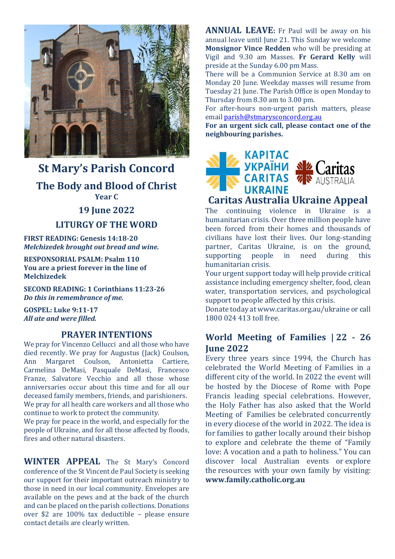

# **St Mary's Parish Concord The Body and Blood of Christ Year C**

#### **19 June 2022**

#### **LITURGY OF THE WORD**

**FIRST READING: Genesis 14:18-20** *Melchizedek brought out bread and wine.*

**RESPONSORIAL PSALM: Psalm 110 You are a priest forever in the line of Melchizedek**

**SECOND READING: 1 Corinthians 11:23-26** *Do this in remembrance of me.*

**GOSPEL: Luke 9:11-17** *All ate and were filled.*

#### **PRAYER INTENTIONS**

We pray for Vincenzo Cellucci and all those who have died recently. We pray for Augustus (Jack) Coulson, Ann Margaret Coulson, Antonietta Cartiere, Carmelina DeMasi, Pasquale DeMasi, Francesco Franze, Salvatore Vecchio and all those whose anniversaries occur about this time and for all our deceased family members, friends, and parishioners. We pray for all health care workers and all those who continue to work to protect the community.

We pray for peace in the world, and especially for the people of Ukraine, and for all those affected by floods, fires and other natural disasters.

**WINTER APPEAL** The St Mary's Concord conference of the St Vincent de Paul Society is seeking our support for their important outreach ministry to those in need in our local community. Envelopes are available on the pews and at the back of the church and can be placed on the parish collections. Donations over \$2 are 100% tax deductible – please ensure contact details are clearly written.

**ANNUAL LEAVE:** Fr Paul will be away on his annual leave until June 21. This Sunday we welcome **Monsignor Vince Redden** who will be presiding at Vigil and 9.30 am Masses. **Fr Gerard Kelly** will preside at the Sunday 6.00 pm Mass.

There will be a Communion Service at 8.30 am on Monday 20 June. Weekday masses will resume from Tuesday 21 June. The Parish Office is open Monday to Thursday from 8.30 am to 3.00 pm.

For after-hours non-urgent parish matters, please email [parish@stmarysconcord.org.au](mailto:parish@stmarysconcord.org.au)

**For an urgent sick call, please contact one of the neighbouring parishes.**



### **Caritas Australia Ukraine Appeal**

The continuing violence in Ukraine is a humanitarian crisis. Over three million people have been forced from their homes and thousands of civilians have lost their lives. Our long-standing partner, Caritas Ukraine, is on the ground, supporting people in need during this humanitarian crisis.

Your urgent support today will help provide critical assistance including emergency shelter, food, clean water, transportation services, and psychological support to people affected by this crisis.

Donate today at www.caritas.org.au/ukraine or call 1800 024 413 toll free.

### **World Meeting of Families | 22 - 26 June 2022**

Every three years since 1994, the Church has celebrated the World Meeting of Families in a different city of the world. In 2022 the event will be hosted by the Diocese of Rome with Pope Francis leading special celebrations. However, the Holy Father has also asked that the World Meeting of Families be celebrated concurrently in every diocese of the world in 2022. The idea is for families to gather locally around their bishop to explore and celebrate the theme of "Family love: A vocation and a path to holiness." You can discover local Australian events or explore the resources with your own family by visiting: **[www.family.catholic.org.au](https://pmrc.ontraport.com/c/s/2Q9/H5O7/6/rw2R/6AM/69Cany/6ZBgDeseg0/P/P/Qb)**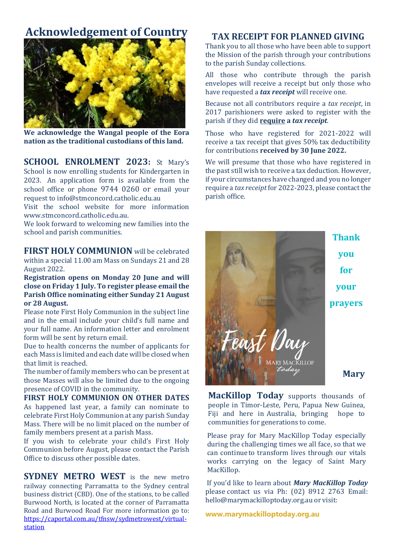# **Acknowledgement of Country**



**We acknowledge the Wangal people of the Eora nation as the traditional custodians of this land.**

**SCHOOL ENROLMENT 2023:** St Mary's School is now enrolling students for Kindergarten in 2023. An application form is available from the school office or phone 9744 0260 or email your request to [info@stmconcord.catholic.edu.au](mailto:info@stmconcord.catholic.edu.au)

Visit the school website for more information [www.stmconcord.catholic.edu.au.](http://www.stmconcord.catholic.edu.au/)

We look forward to welcoming new families into the school and parish communities.

**FIRST HOLY COMMUNION** will be celebrated within a special 11.00 am Mass on Sundays 21 and 28 August 2022.

**Registration opens on Monday 20 June and will close on Friday 1 July. To register please email the Parish Office nominating either Sunday 21 August or 28 August.** 

Please note First Holy Communion in the subject line and in the email include your child's full name and your full name. An information letter and enrolment form will be sent by return email.

Due to health concerns the number of applicants for each Mass is limited and each date will be closed when that limit is reached.

The number of family members who can be present at those Masses will also be limited due to the ongoing presence of COVID in the community.

**FIRST HOLY COMMUNION ON OTHER DATES** As happened last year, a family can nominate to celebrate First Holy Communion at any parish Sunday Mass. There will be no limit placed on the number of family members present at a parish Mass.

If you wish to celebrate your child's First Holy Communion before August, please contact the Parish Office to discuss other possible dates.

**SYDNEY METRO WEST** is the new metro railway connecting Parramatta to the Sydney central business district (CBD). One of the stations, to be called Burwood North, is located at the corner of Parramatta Road and Burwood Road For more information go to: [https://caportal.com.au/tfnsw/sydmetrowest/virtual](https://caportal.com.au/tfnsw/sydmetrowest/virtual-station)[station](https://caportal.com.au/tfnsw/sydmetrowest/virtual-station)

### **TAX RECEIPT FOR PLANNED GIVING**

Thank you to all those who have been able to support the Mission of the parish through your contributions to the parish Sunday collections.

All those who contribute through the parish envelopes will receive a receipt but only those who have requested a *tax receipt* will receive one.

Because not all contributors require a *tax receipt*, in 2017 parishioners were asked to register with the parish if they did **require a** *tax receipt*.

Those who have registered for 2021-2022 will receive a tax receipt that gives 50% tax deductibility for contributions **received by 30 June 2022.**

We will presume that those who have registered in the past still wish to receive a tax deduction. However, if your circumstances have changed and you no longer require a *tax receipt*for 2022-2023, please contact the parish office.



**MacKillop Today** supports thousands of people in Timor-Leste, Peru, Papua New Guinea, Fiji and here in Australia, bringing hope to communities for generations to come.

Please pray for Mary MacKillop Today especially during the challenging times we all face, so that we can continueto transform lives through our vitals works carrying on the legacy of Saint Mary MacKillop.

If you'd like to learn about *Mary MacKillop Today* please contact us via Ph: (02) 8912 2763 Email: [hello@marymackilloptoday.org.au](mailto:hello@marymackilloptoday.org.au) or visit:

**[www.marymackilloptoday.org.au](http://www.marymackilloptoday.org.au/)**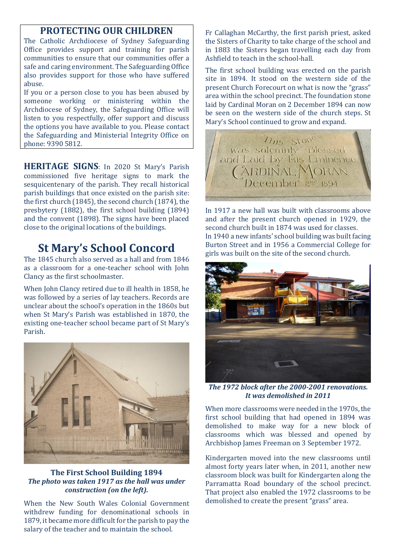### **PROTECTING OUR CHILDREN**

The Catholic Archdiocese of Sydney Safeguarding Office provides support and training for parish communities to ensure that our communities offer a safe and caring environment. The Safeguarding Office also provides support for those who have suffered abuse.

If you or a person close to you has been abused by someone working or ministering within the Archdiocese of Sydney, the Safeguarding Office will listen to you respectfully, offer support and discuss the options you have available to you. Please contact the Safeguarding and Ministerial Integrity Office on phone: 9390 5812.

**HERITAGE SIGNS**: In 2020 St Mary's Parish commissioned five heritage signs to mark the sesquicentenary of the parish. They recall historical parish buildings that once existed on the parish site: the first church (1845), the second church (1874), the presbytery (1882), the first school building (1894) and the convent (1898). The signs have been placed close to the original locations of the buildings.

# **St Mary's School Concord**

The 1845 church also served as a hall and from 1846 as a classroom for a one-teacher school with John Clancy as the first schoolmaster.

When John Clancy retired due to ill health in 1858, he was followed by a series of lay teachers. Records are unclear about the school's operation in the 1860s but when St Mary's Parish was established in 1870, the existing one-teacher school became part of St Mary's Parish.



#### **The First School Building 1894** *The photo was taken 1917 as the hall was under construction (on the left).*

When the New South Wales Colonial Government withdrew funding for denominational schools in 1879, it became more difficult for the parish to pay the salary of the teacher and to maintain the school.

Fr Callaghan McCarthy, the first parish priest, asked the Sisters of Charity to take charge of the school and in 1883 the Sisters began travelling each day from Ashfield to teach in the school-hall.

The first school building was erected on the parish site in 1894. It stood on the western side of the present Church Forecourt on what is now the "grass" area within the school precinct. The foundation stone laid by Cardinal Moran on 2 December 1894 can now be seen on the western side of the church steps. St Mary's School continued to grow and expand.



In 1917 a new hall was built with classrooms above and after the present church opened in 1929, the second church built in 1874 was used for classes. In 1940 a new infants' school building was built facing Burton Street and in 1956 a Commercial College for girls was built on the site of the second church.



*The 1972 block after the 2000-2001 renovations. It was demolished in 2011*

When more classrooms were needed in the 1970s, the first school building that had opened in 1894 was demolished to make way for a new block of classrooms which was blessed and opened by Archbishop James Freeman on 3 September 1972.

Kindergarten moved into the new classrooms until almost forty years later when, in 2011, another new classroom block was built for Kindergarten along the Parramatta Road boundary of the school precinct. That project also enabled the 1972 classrooms to be demolished to create the present "grass" area.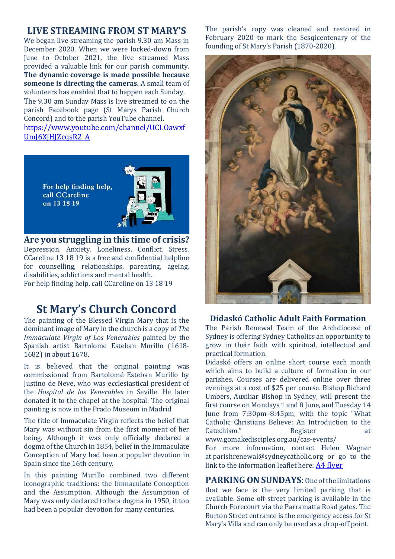### **LIVE STREAMING FROM ST MARY'S**

We began live streaming the parish 9.30 am Mass in December 2020. When we were locked-down from June to October 2021, the live streamed Mass provided a valuable link for our parish community. **The dynamic coverage is made possible because someone is directing the cameras.** A small team of volunteers has enabled that to happen each Sunday. The 9.30 am Sunday Mass is live streamed to on the parish Facebook page (St Marys Parish Church Concord) and to the parish YouTube channel. [https://www.youtube.com/channel/UCLOawxf](https://www.youtube.com/channel/UCLOawxfUmJ6XjHJZcqsR2_A) [UmJ6XjHJZcqsR2\\_A](https://www.youtube.com/channel/UCLOawxfUmJ6XjHJZcqsR2_A)



**Are you struggling in this time of crisis?**  Depression. Anxiety. Loneliness. Conflict. Stress. CCareline 13 18 19 is a free and confidential helpline for counselling, relationships, parenting, ageing, disabilities, addictions and mental health. For help finding help, call CCareline on 13 18 19

# **St Mary's Church Concord**

The painting of the Blessed Virgin Mary that is the dominant image of Mary in the church is a copy of *The Immaculate Virgin of Los Venerables* painted by the Spanish artist Bartolome Esteban Murillo (1618- 1682) in about 1678.

It is believed that the original painting was commissioned from Bartolomé Esteban Murillo by Justino de Neve, who was ecclesiastical president of the *Hospital de los Venerables* in Seville. He later donated it to the chapel at the hospital. The original painting is now in the Prado Museum in Madrid

The title of Immaculate Virgin reflects the belief that Mary was without sin from the first moment of her being. Although it was only officially declared a dogma of the Church in 1854, belief in the Immaculate Conception of Mary had been a popular devotion in Spain since the 16th century.

In this painting Murillo combined two different iconographic traditions: the Immaculate Conception and the Assumption. Although the Assumption of Mary was only declared to be a dogma in 1950, it too had been a popular devotion for many centuries.

The parish's copy was cleaned and restored in February 2020 to mark the Sesqicentenary of the founding of St Mary's Parish (1870-2020).



#### **Didaskó Catholic Adult Faith Formation**

The Parish Renewal Team of the Archdiocese of Sydney is offering Sydney Catholics an opportunity to grow in their faith with spiritual, intellectual and practical formation.

Didaskó offers an online short course each month which aims to build a culture of formation in our parishes. Courses are delivered online over three evenings at a cost of \$25 per course. Bishop Richard Umbers, Auxiliar Bishop in Sydney, will present the first course on Mondays 1 and 8 June, and Tuesday 14 June from 7:30pm–8:45pm, with the topic "What Catholic Christians Believe: An Introduction to the Catechism." Register at

[www.gomakedisciples.org.au/cas-events/](https://comms.sydneycatholic.org/ch/75218/bxqq7/2219737/cxHaylqe_G2Ku55e3z8xsxqITNu92ThlPqPyUpar.html)

For more information, contact Helen Wagner at [parishrenewal@sydneycatholic.org](mailto:parishrenewal@sydneycatholic.org) or go to the link to the information leaflet here: [A4 flyer](https://www.gomakedisciples.org.au/wp-content/uploads/2022/05/Didasko-Flyerv7.pdf)

**PARKING ON SUNDAYS**: One of the limitations that we face is the very limited parking that is available. Some off-street parking is available in the Church Forecourt via the Parramatta Road gates. The Burton Street entrance is the emergency access for St Mary's Villa and can only be used as a drop-off point.